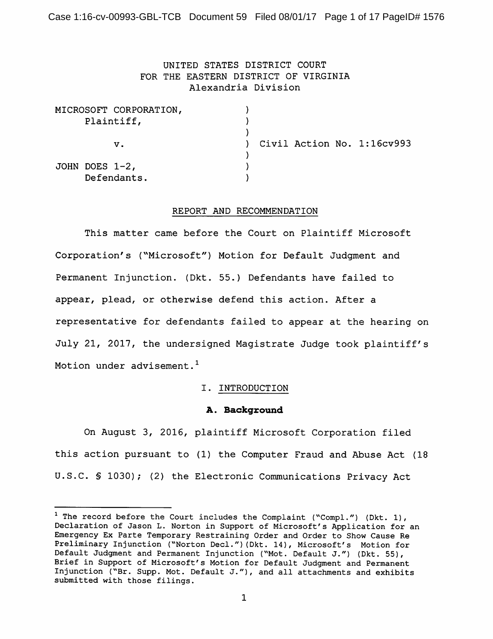Case 1:16-cv-00993-GBL-TCB Document 59 Filed 08/01/17 Page 1 of 17 PageID# 1576

# UNITED STATES DISTRICT COURT FOR THE EASTERN DISTRICT OF VIRGINIA Alexandria Division

|            |                   | MICROSOFT CORPORATION, |  |  |                            |
|------------|-------------------|------------------------|--|--|----------------------------|
| Plaintiff, |                   |                        |  |  |                            |
|            |                   |                        |  |  |                            |
|            |                   | v.                     |  |  | Civil Action No. 1:16cv993 |
|            |                   |                        |  |  |                            |
|            | JOHN DOES $1-2$ , |                        |  |  |                            |
|            | Defendants.       |                        |  |  |                            |

### REPORT AND RECOMMENDATION

This matter came before the Court on Plaintiff Microsoft Corporation's ("Microsoft") Motion for Default Judgment and Permanent Injunction. (Dkt. 55.) Defendants have failed to appear, plead, or otherwise defend this action. After a representative for defendants failed to appear at the hearing on July 21, 2017, the undersigned Magistrate Judge took plaintiff's Motion under advisement.<sup>1</sup>

## I. INTRODUCTION

## A. Background

On August 3, 2016, plaintiff Microsoft Corporation filed this action pursuant to (1) the Computer Fraud and Abuse Act (18 U.S.C. § 1030); (2) the Electronic Communications Privacy Act

<sup>&</sup>lt;sup>1</sup> The record before the Court includes the Complaint ("Compl.") (Dkt. 1), Declaration of Jason L. Norton in Support of Microsoft's Application for an Emergency Ex Parte Temporary Restraining Order and Order to Show Cause Re Preliminary Injunction ("Norton Decl.") (Dkt. 14), Microsoft's Motion for Default Judgment and Permanent Injunction ("Mot. Default J.") (Dkt. 55), Brief in Support of Microsoft's Motion for Default Judgment and Permanent Injunction ("Br. Supp. Mot. Default J."), and all attachments and exhibits submitted with those filings.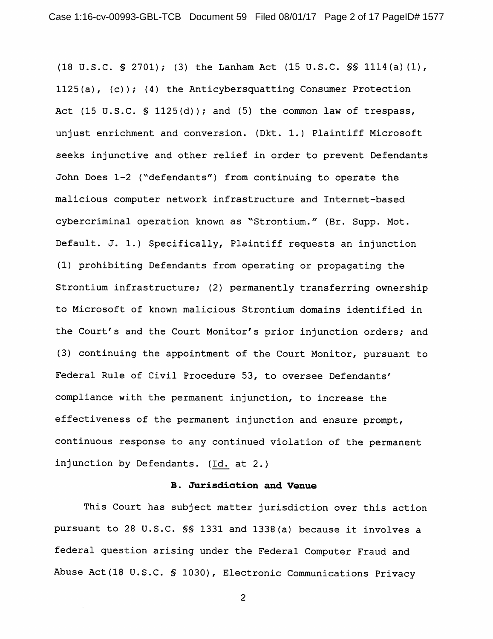(18 U.S.C. § 2701); (3) the Lanham Act (15 U.S.C. \$§ 1114(a)(1), 1125(a),  $(c)$ ; (4) the Anticybersquatting Consumer Protection Act (15 U.S.C. § 1125(d)); and (5) the common law of trespass, unjust enrichment and conversion. (Dkt. 1.) Plaintiff Microsoft seeks injunctive and other relief in order to prevent Defendants John Does 1-2 ("defendants") from continuing to operate the malicious computer network infrastructure and Internet-based cybercriminal operation known as "Strontium." (Br. Supp. Mot. Default. J. 1.) Specifically, Plaintiff requests an injunction (1) prohibiting Defendants from operating or propagating the Strontium infrastructure; (2) permanently transferring ownership to Microsoft of known malicious Strontium domains identified in the Court's and the Court Monitor's prior injunction orders; and (3) continuing the appointment of the Court Monitor, pursuant to Federal Rule of Civil Procedure 53, to oversee Defendants' compliance with the permanent injunction, to increase the effectiveness of the permanent injunction and ensure prompt, continuous response to any continued violation of the permanent injunction by Defendants. (Id. at 2.)

## **B.** Jurisdiction and Venue

This Court has subject matter jurisdiction over this action pursuant to 28 U.S.C. SS 1331 and 1338(a) because it involves a federal question arising under the Federal Computer Fraud and Abuse Act (18 U.S.C. § 1030), Electronic Communications Privacy

 $\overline{2}$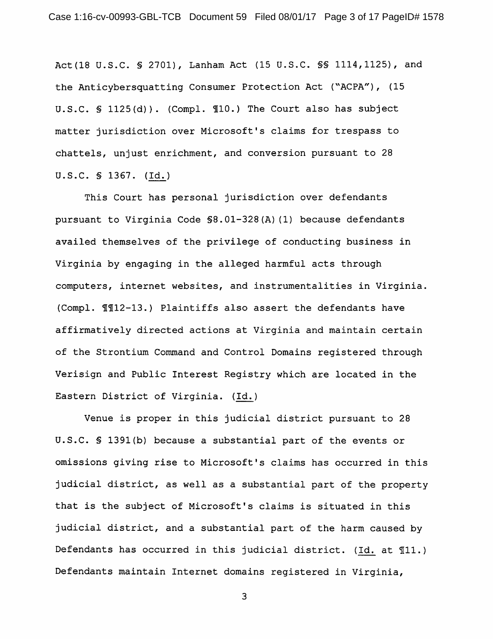Act (18 U.S.C. § 2701), Lanham Act (15 U.S.C. §§ 1114, 1125), and the Anticybersquatting Consumer Protection Act ("ACPA"), (15 U.S.C. § 1125(d)). (Compl. ¶10.) The Court also has subject matter jurisdiction over Microsoft's claims for trespass to chattels, unjust enrichment, and conversion pursuant to 28 U.S.C. § 1367. (Id.)

This Court has personal jurisdiction over defendants pursuant to Virginia Code \$8.01-328(A)(1) because defendants availed themselves of the privilege of conducting business in Virginia by engaging in the alleged harmful acts through computers, internet websites, and instrumentalities in Virginia. (Compl. 112-13.) Plaintiffs also assert the defendants have affirmatively directed actions at Virginia and maintain certain of the Strontium Command and Control Domains registered through Verisign and Public Interest Registry which are located in the Eastern District of Virginia. (Id.)

Venue is proper in this judicial district pursuant to 28 U.S.C. § 1391(b) because a substantial part of the events or omissions qiving rise to Microsoft's claims has occurred in this judicial district, as well as a substantial part of the property that is the subject of Microsoft's claims is situated in this judicial district, and a substantial part of the harm caused by Defendants has occurred in this judicial district. (Id. at 111.) Defendants maintain Internet domains registered in Virginia,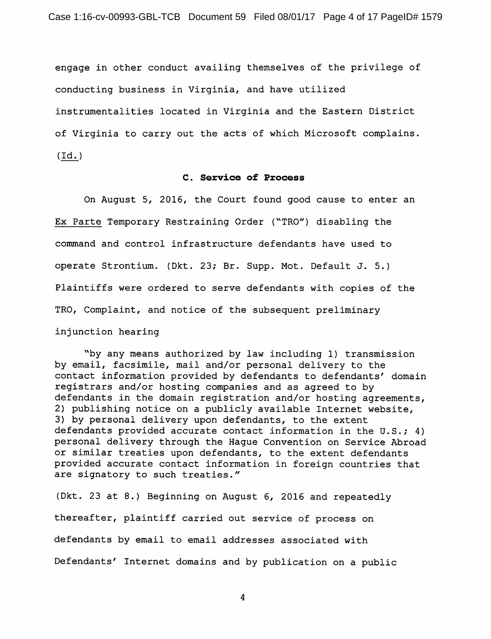engage in other conduct availing themselves of the privilege of conducting business in Virginia, and have utilized instrumentalities located in Virginia and the Eastern District of Virginia to carry out the acts of which Microsoft complains.  $(\text{Id.})$ 

## C. Service of Process

On August 5, 2016, the Court found good cause to enter an Ex Parte Temporary Restraining Order ("TRO") disabling the command and control infrastructure defendants have used to operate Strontium. (Dkt. 23; Br. Supp. Mot. Default J. 5.) Plaintiffs were ordered to serve defendants with copies of the TRO, Complaint, and notice of the subsequent preliminary injunction hearing

"by any means authorized by law including 1) transmission by email, facsimile, mail and/or personal delivery to the contact information provided by defendants to defendants' domain registrars and/or hosting companies and as agreed to by defendants in the domain registration and/or hosting agreements, 2) publishing notice on a publicly available Internet website, 3) by personal delivery upon defendants, to the extent defendants provided accurate contact information in the U.S.; 4) personal delivery through the Haque Convention on Service Abroad or similar treaties upon defendants, to the extent defendants provided accurate contact information in foreign countries that are signatory to such treaties."

(Dkt. 23 at 8.) Beginning on August 6, 2016 and repeatedly thereafter, plaintiff carried out service of process on defendants by email to email addresses associated with Defendants' Internet domains and by publication on a public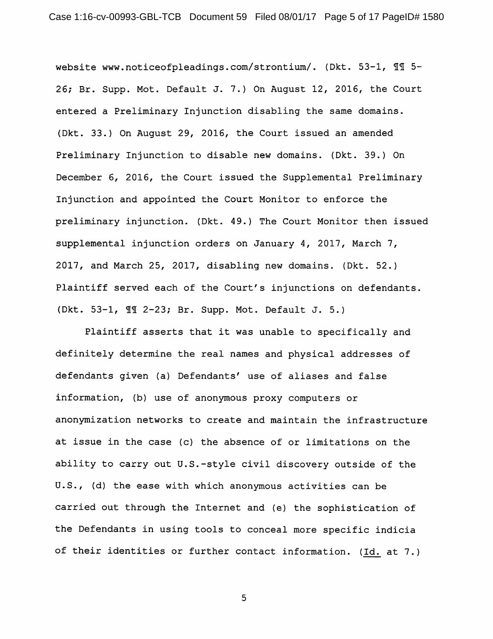website www.noticeofpleadings.com/strontium/. (Dkt. 53-1, 11 5-26; Br. Supp. Mot. Default J. 7.) On August 12, 2016, the Court entered a Preliminary Injunction disabling the same domains. (Dkt. 33.) On August 29, 2016, the Court issued an amended Preliminary Injunction to disable new domains. (Dkt. 39.) On December 6, 2016, the Court issued the Supplemental Preliminary Injunction and appointed the Court Monitor to enforce the preliminary injunction. (Dkt. 49.) The Court Monitor then issued supplemental injunction orders on January 4, 2017, March 7, 2017, and March 25, 2017, disabling new domains. (Dkt. 52.) Plaintiff served each of the Court's injunctions on defendants. (Dkt. 53-1, 11 2-23; Br. Supp. Mot. Default J. 5.)

Plaintiff asserts that it was unable to specifically and definitely determine the real names and physical addresses of defendants given (a) Defendants' use of aliases and false information, (b) use of anonymous proxy computers or anonymization networks to create and maintain the infrastructure at issue in the case (c) the absence of or limitations on the ability to carry out U.S.-style civil discovery outside of the U.S., (d) the ease with which anonymous activities can be carried out through the Internet and (e) the sophistication of the Defendants in using tools to conceal more specific indicia of their identities or further contact information. (Id. at 7.)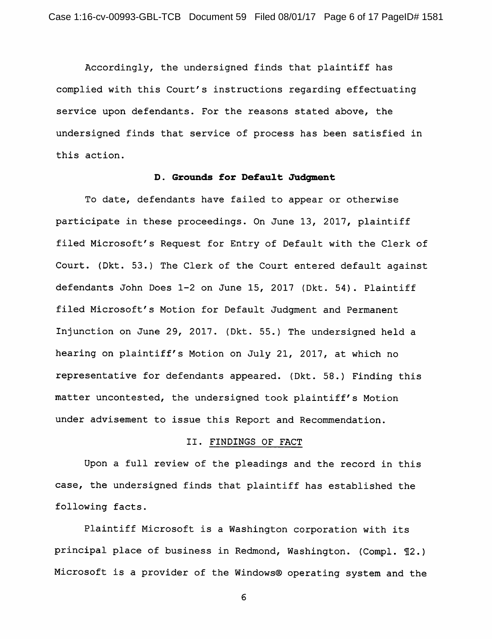Accordingly, the undersigned finds that plaintiff has complied with this Court's instructions regarding effectuating service upon defendants. For the reasons stated above, the undersigned finds that service of process has been satisfied in this action.

### D. Grounds for Default Judgment

To date, defendants have failed to appear or otherwise participate in these proceedings. On June 13, 2017, plaintiff filed Microsoft's Request for Entry of Default with the Clerk of Court. (Dkt. 53.) The Clerk of the Court entered default against defendants John Does 1-2 on June 15, 2017 (Dkt. 54). Plaintiff filed Microsoft's Motion for Default Judgment and Permanent Injunction on June 29, 2017. (Dkt. 55.) The undersigned held a hearing on plaintiff's Motion on July 21, 2017, at which no representative for defendants appeared. (Dkt. 58.) Finding this matter uncontested, the undersigned took plaintiff's Motion under advisement to issue this Report and Recommendation.

### II. FINDINGS OF FACT

Upon a full review of the pleadings and the record in this case, the undersigned finds that plaintiff has established the following facts.

Plaintiff Microsoft is a Washington corporation with its principal place of business in Redmond, Washington. (Compl. 12.) Microsoft is a provider of the Windows® operating system and the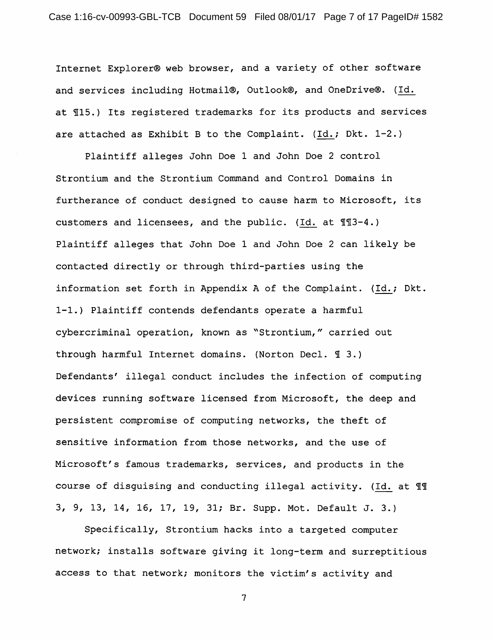Internet Explorer® web browser, and a variety of other software and services including Hotmail®, Outlook®, and OneDrive®. (Id. at 115.) Its registered trademarks for its products and services are attached as Exhibit B to the Complaint. (Id.; Dkt. 1-2.)

Plaintiff alleges John Doe 1 and John Doe 2 control Strontium and the Strontium Command and Control Domains in furtherance of conduct designed to cause harm to Microsoft, its customers and licensees, and the public. (Id. at 113-4.) Plaintiff alleges that John Doe 1 and John Doe 2 can likely be contacted directly or through third-parties using the information set forth in Appendix A of the Complaint. (Id.; Dkt. 1-1.) Plaintiff contends defendants operate a harmful cybercriminal operation, known as "Strontium," carried out through harmful Internet domains. (Norton Decl. 1 3.) Defendants' illegal conduct includes the infection of computing devices running software licensed from Microsoft, the deep and persistent compromise of computing networks, the theft of sensitive information from those networks, and the use of Microsoft's famous trademarks, services, and products in the course of disquising and conducting illegal activity. (Id. at 11) 3, 9, 13, 14, 16, 17, 19, 31; Br. Supp. Mot. Default J. 3.)

Specifically, Strontium hacks into a targeted computer network; installs software giving it long-term and surreptitious access to that network; monitors the victim's activity and

 $\overline{7}$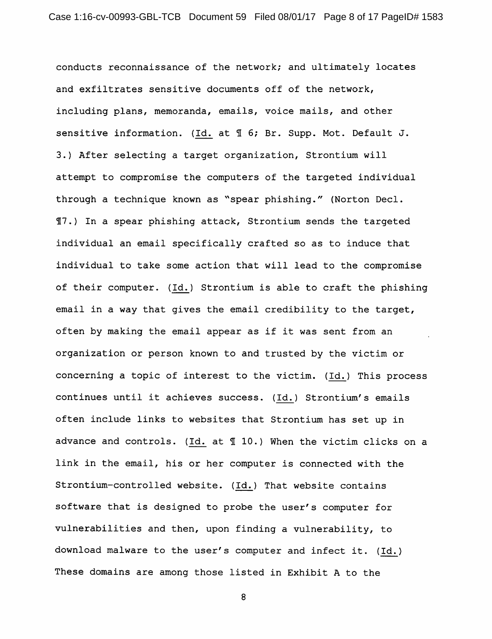conducts reconnaissance of the network; and ultimately locates and exfiltrates sensitive documents off of the network, including plans, memoranda, emails, voice mails, and other sensitive information. (Id. at 1 6; Br. Supp. Mot. Default J. 3.) After selecting a target organization, Strontium will attempt to compromise the computers of the targeted individual through a technique known as "spear phishing." (Norton Decl. 17.) In a spear phishing attack, Strontium sends the targeted individual an email specifically crafted so as to induce that individual to take some action that will lead to the compromise of their computer. (Id.) Strontium is able to craft the phishing email in a way that gives the email credibility to the target, often by making the email appear as if it was sent from an organization or person known to and trusted by the victim or concerning a topic of interest to the victim. (Id.) This process continues until it achieves success. (Id.) Strontium's emails often include links to websites that Strontium has set up in advance and controls. (Id. at 110.) When the victim clicks on a link in the email, his or her computer is connected with the Strontium-controlled website. (Id.) That website contains software that is designed to probe the user's computer for vulnerabilities and then, upon finding a vulnerability, to download malware to the user's computer and infect it. (Id.) These domains are among those listed in Exhibit A to the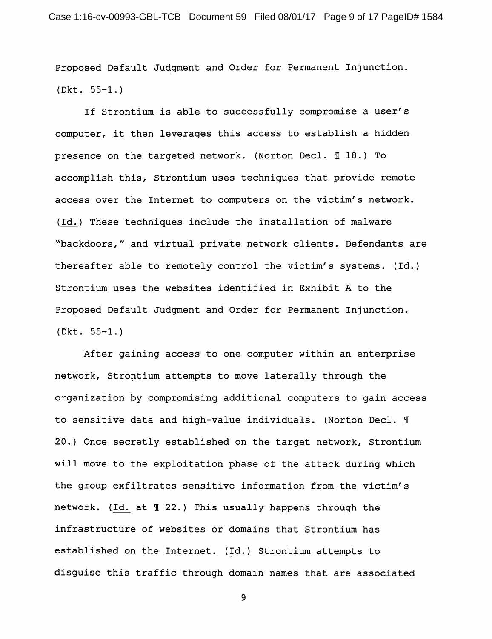Proposed Default Judgment and Order for Permanent Injunction. (Dkt.  $55-1.$ )

If Strontium is able to successfully compromise a user's computer, it then leverages this access to establish a hidden presence on the targeted network. (Norton Decl. 118.) To accomplish this, Strontium uses techniques that provide remote access over the Internet to computers on the victim's network. (Id.) These techniques include the installation of malware "backdoors," and virtual private network clients. Defendants are thereafter able to remotely control the victim's systems. (Id.) Strontium uses the websites identified in Exhibit A to the Proposed Default Judgment and Order for Permanent Injunction.  $(Dkt. 55-1.)$ 

After gaining access to one computer within an enterprise network, Strontium attempts to move laterally through the organization by compromising additional computers to gain access to sensitive data and high-value individuals. (Norton Decl. 1 20.) Once secretly established on the target network, Strontium will move to the exploitation phase of the attack during which the group exfiltrates sensitive information from the victim's network. (Id. at 122.) This usually happens through the infrastructure of websites or domains that Strontium has established on the Internet. (Id.) Strontium attempts to disguise this traffic through domain names that are associated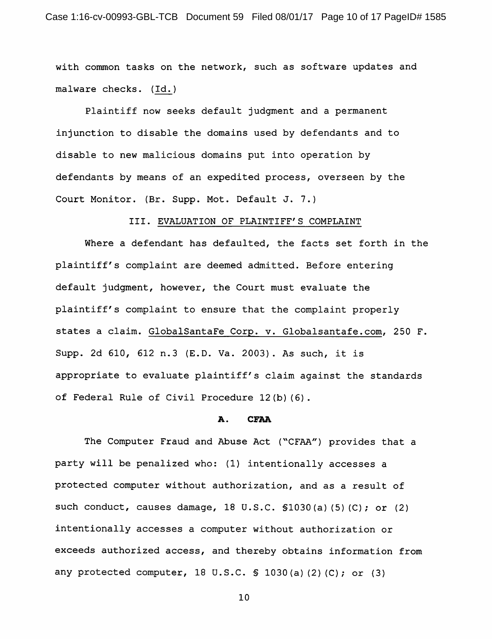with common tasks on the network, such as software updates and malware checks. (Id.)

Plaintiff now seeks default judgment and a permanent injunction to disable the domains used by defendants and to disable to new malicious domains put into operation by defendants by means of an expedited process, overseen by the Court Monitor. (Br. Supp. Mot. Default J. 7.)

## III. EVALUATION OF PLAINTIFF'S COMPLAINT

Where a defendant has defaulted, the facts set forth in the plaintiff's complaint are deemed admitted. Before entering default judgment, however, the Court must evaluate the plaintiff's complaint to ensure that the complaint properly states a claim. GlobalSantaFe Corp. v. Globalsantafe.com, 250 F. Supp. 2d 610, 612 n.3 (E.D. Va. 2003). As such, it is appropriate to evaluate plaintiff's claim against the standards of Federal Rule of Civil Procedure 12(b)(6).

#### A. **CFAA**

The Computer Fraud and Abuse Act ("CFAA") provides that a party will be penalized who: (1) intentionally accesses a protected computer without authorization, and as a result of such conduct, causes damage, 18 U.S.C. \$1030(a)(5)(C); or (2) intentionally accesses a computer without authorization or exceeds authorized access, and thereby obtains information from any protected computer, 18 U.S.C.  $\$$  1030(a)(2)(C); or (3)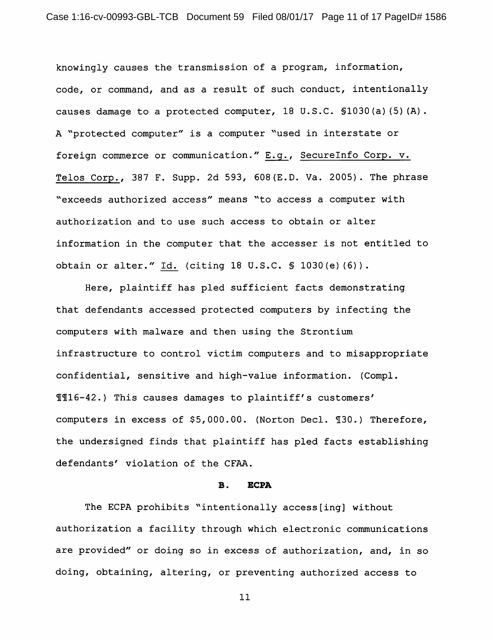knowingly causes the transmission of a program, information, code, or command, and as a result of such conduct, intentionally causes damage to a protected computer, 18 U.S.C. \$1030(a)(5)(A). A "protected computer" is a computer "used in interstate or foreign commerce or communication." E.g., SecureInfo Corp. v. Telos Corp., 387 F. Supp. 2d 593, 608 (E.D. Va. 2005). The phrase "exceeds authorized access" means "to access a computer with authorization and to use such access to obtain or alter information in the computer that the accesser is not entitled to obtain or alter." Id. (citing 18 U.S.C. § 1030(e)(6)).

Here, plaintiff has pled sufficient facts demonstrating that defendants accessed protected computers by infecting the computers with malware and then using the Strontium infrastructure to control victim computers and to misappropriate confidential, sensitive and high-value information. (Compl. II16-42.) This causes damages to plaintiff's customers' computers in excess of \$5,000.00. (Norton Decl. 130.) Therefore, the undersigned finds that plaintiff has pled facts establishing defendants' violation of the CFAA.

#### **B. ECPA**

The ECPA prohibits "intentionally access[ing] without authorization a facility through which electronic communications are provided" or doing so in excess of authorization, and, in so doing, obtaining, altering, or preventing authorized access to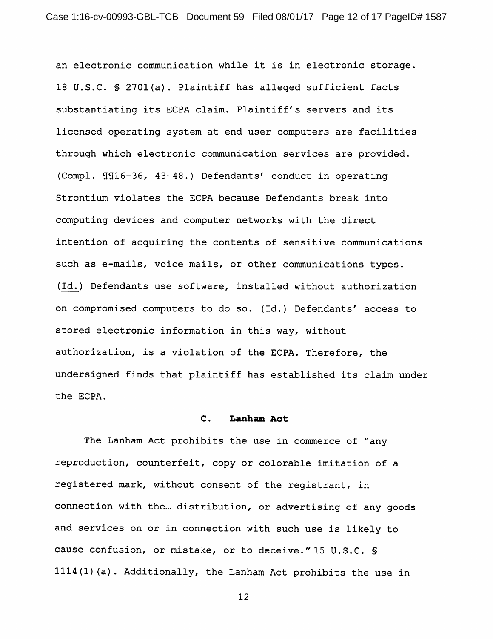an electronic communication while it is in electronic storage. 18 U.S.C. § 2701(a). Plaintiff has alleged sufficient facts substantiating its ECPA claim. Plaintiff's servers and its licensed operating system at end user computers are facilities through which electronic communication services are provided. (Compl. 116-36, 43-48.) Defendants' conduct in operating Strontium violates the ECPA because Defendants break into computing devices and computer networks with the direct intention of acquiring the contents of sensitive communications such as e-mails, voice mails, or other communications types. (Id.) Defendants use software, installed without authorization on compromised computers to do so. (Id.) Defendants' access to stored electronic information in this way, without authorization, is a violation of the ECPA. Therefore, the undersigned finds that plaintiff has established its claim under the ECPA.

#### $\mathsf{c}$ . Lanham Act

The Lanham Act prohibits the use in commerce of "any reproduction, counterfeit, copy or colorable imitation of a registered mark, without consent of the registrant, in connection with the... distribution, or advertising of any goods and services on or in connection with such use is likely to cause confusion, or mistake, or to deceive."15 U.S.C. \$ 1114(1)(a). Additionally, the Lanham Act prohibits the use in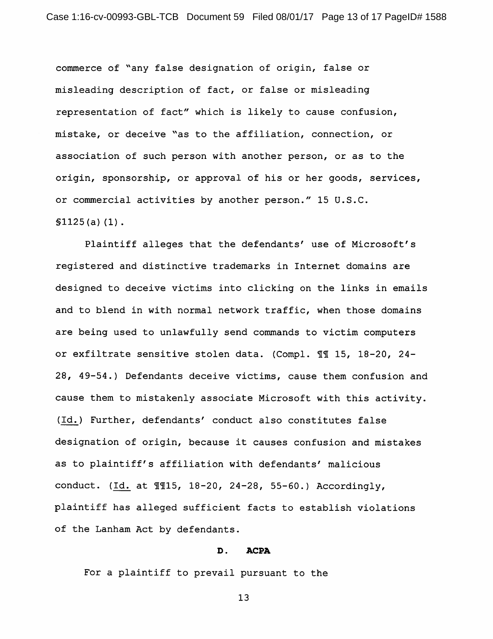commerce of "any false designation of origin, false or misleading description of fact, or false or misleading representation of fact" which is likely to cause confusion, mistake, or deceive "as to the affiliation, connection, or association of such person with another person, or as to the origin, sponsorship, or approval of his or her goods, services, or commercial activities by another person." 15 U.S.C.  $$1125(a) (1)$ .

Plaintiff alleges that the defendants' use of Microsoft's registered and distinctive trademarks in Internet domains are designed to deceive victims into clicking on the links in emails and to blend in with normal network traffic, when those domains are being used to unlawfully send commands to victim computers or exfiltrate sensitive stolen data. (Compl. 11 15, 18-20, 24-28, 49-54.) Defendants deceive victims, cause them confusion and cause them to mistakenly associate Microsoft with this activity. (Id.) Further, defendants' conduct also constitutes false designation of origin, because it causes confusion and mistakes as to plaintiff's affiliation with defendants' malicious conduct. (Id. at 1115, 18-20, 24-28, 55-60.) Accordingly, plaintiff has alleged sufficient facts to establish violations of the Lanham Act by defendants.

#### D. **ACPA**

For a plaintiff to prevail pursuant to the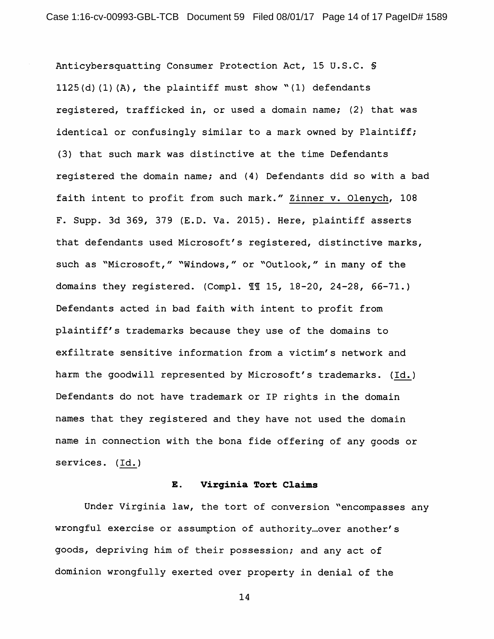Anticybersquatting Consumer Protection Act, 15 U.S.C. §  $1125(d)$  (1) (A), the plaintiff must show "(1) defendants registered, trafficked in, or used a domain name; (2) that was identical or confusingly similar to a mark owned by Plaintiff; (3) that such mark was distinctive at the time Defendants registered the domain name; and (4) Defendants did so with a bad faith intent to profit from such mark." Zinner v. Olenych, 108 F. Supp. 3d 369, 379 (E.D. Va. 2015). Here, plaintiff asserts that defendants used Microsoft's registered, distinctive marks, such as "Microsoft," "Windows," or "Outlook," in many of the domains they registered. (Compl. 11 15, 18-20, 24-28, 66-71.) Defendants acted in bad faith with intent to profit from plaintiff's trademarks because they use of the domains to exfiltrate sensitive information from a victim's network and harm the goodwill represented by Microsoft's trademarks. (Id.) Defendants do not have trademark or IP rights in the domain names that they registered and they have not used the domain name in connection with the bona fide offering of any goods or services. (Id.)

#### Е. Virginia Tort Claims

Under Virginia law, the tort of conversion "encompasses any wrongful exercise or assumption of authority ... over another's goods, depriving him of their possession; and any act of dominion wrongfully exerted over property in denial of the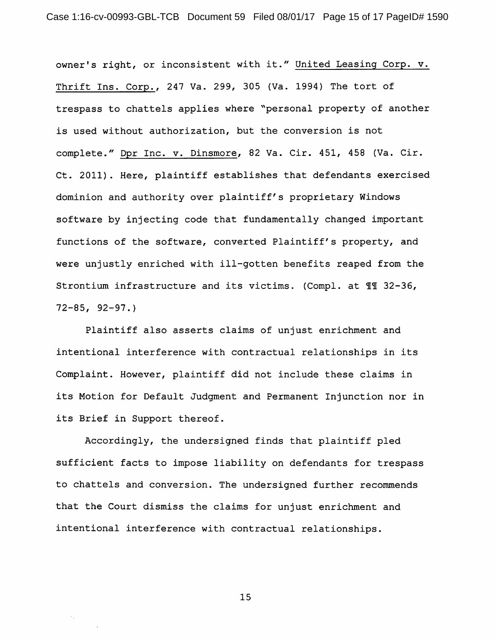owner's right, or inconsistent with it." United Leasing Corp. v. Thrift Ins. Corp., 247 Va. 299, 305 (Va. 1994) The tort of trespass to chattels applies where "personal property of another is used without authorization, but the conversion is not complete." Dpr Inc. v. Dinsmore, 82 Va. Cir. 451, 458 (Va. Cir. Ct. 2011). Here, plaintiff establishes that defendants exercised dominion and authority over plaintiff's proprietary Windows software by injecting code that fundamentally changed important functions of the software, converted Plaintiff's property, and were unjustly enriched with ill-gotten benefits reaped from the Strontium infrastructure and its victims. (Compl. at 11 32-36,  $72 - 85, 92 - 97.$ 

Plaintiff also asserts claims of unjust enrichment and intentional interference with contractual relationships in its Complaint. However, plaintiff did not include these claims in its Motion for Default Judgment and Permanent Injunction nor in its Brief in Support thereof.

Accordingly, the undersigned finds that plaintiff pled sufficient facts to impose liability on defendants for trespass to chattels and conversion. The undersigned further recommends that the Court dismiss the claims for unjust enrichment and intentional interference with contractual relationships.

15

 $\sigma_{\rm eff}$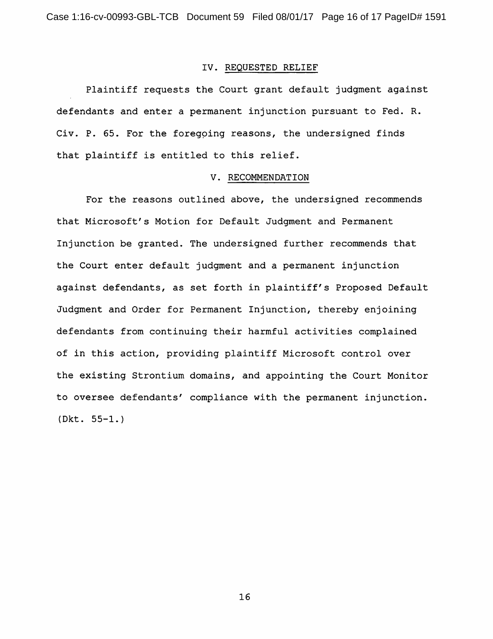## IV. REQUESTED RELIEF

Plaintiff requests the Court grant default judgment against defendants and enter a permanent injunction pursuant to Fed. R. Civ. P. 65. For the foregoing reasons, the undersigned finds that plaintiff is entitled to this relief.

## V. RECOMMENDATION

For the reasons outlined above, the undersigned recommends that Microsoft's Motion for Default Judgment and Permanent Injunction be granted. The undersigned further recommends that the Court enter default judgment and a permanent injunction against defendants, as set forth in plaintiff's Proposed Default Judgment and Order for Permanent Injunction, thereby enjoining defendants from continuing their harmful activities complained of in this action, providing plaintiff Microsoft control over the existing Strontium domains, and appointing the Court Monitor to oversee defendants' compliance with the permanent injunction.  $(Dkt. 55-1.)$